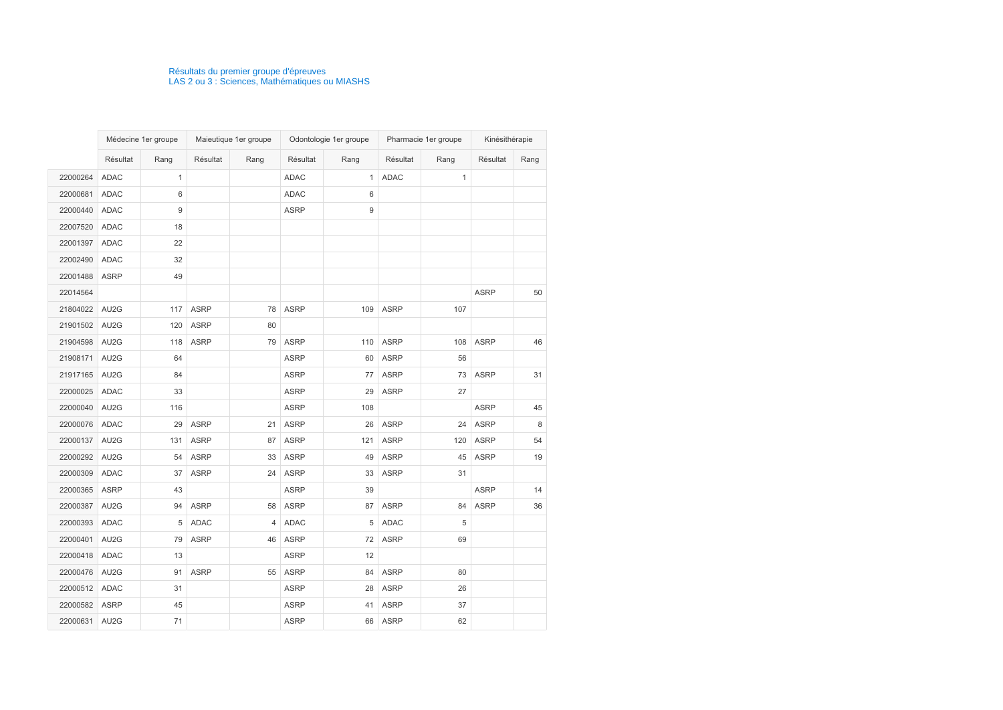|               | Médecine 1er groupe |                  | Maieutique 1er groupe |      |             | Odontologie 1er groupe | Pharmacie 1er groupe |              | Kinésithérapie |      |
|---------------|---------------------|------------------|-----------------------|------|-------------|------------------------|----------------------|--------------|----------------|------|
|               | Résultat            | Rang             | Résultat              | Rang | Résultat    | Rang                   | Résultat             | Rang         | Résultat       | Rang |
| 22000264      | <b>ADAC</b>         | $\mathbf{1}$     |                       |      | <b>ADAC</b> | $\mathbf{1}$           | <b>ADAC</b>          | $\mathbf{1}$ |                |      |
| 22000681      | <b>ADAC</b>         | 6                |                       |      | <b>ADAC</b> | 6                      |                      |              |                |      |
| 22000440      | <b>ADAC</b>         | $\boldsymbol{9}$ |                       |      | <b>ASRP</b> | 9                      |                      |              |                |      |
| 22007520      | <b>ADAC</b>         | 18               |                       |      |             |                        |                      |              |                |      |
| 22001397      | <b>ADAC</b>         | 22               |                       |      |             |                        |                      |              |                |      |
| 22002490      | <b>ADAC</b>         | 32               |                       |      |             |                        |                      |              |                |      |
| 22001488      | <b>ASRP</b>         | 49               |                       |      |             |                        |                      |              |                |      |
| 22014564      |                     |                  |                       |      |             |                        |                      |              | <b>ASRP</b>    | 50   |
| 21804022      | AU2G                | 117              | <b>ASRP</b>           | 78   | <b>ASRP</b> | 109                    | <b>ASRP</b>          | 107          |                |      |
| 21901502      | AU2G                | 120              | <b>ASRP</b>           | 80   |             |                        |                      |              |                |      |
| 21904598      | AU2G                | 118              | <b>ASRP</b>           | 79   | <b>ASRP</b> | 110                    | <b>ASRP</b>          | 108          | <b>ASRP</b>    | 46   |
| 21908171      | AU2G                | 64               |                       |      | <b>ASRP</b> | 60                     | <b>ASRP</b>          | 56           |                |      |
| 21917165      | AU2G                | 84               |                       |      | <b>ASRP</b> | 77                     | <b>ASRP</b>          | 73           | <b>ASRP</b>    | 31   |
| 22000025      | <b>ADAC</b>         | 33               |                       |      | <b>ASRP</b> | 29                     | <b>ASRP</b>          | 27           |                |      |
| 22000040      | AU2G                | 116              |                       |      | <b>ASRP</b> | 108                    |                      |              | <b>ASRP</b>    | 45   |
| 22000076      | <b>ADAC</b>         | 29               | <b>ASRP</b>           | 21   | <b>ASRP</b> | 26                     | <b>ASRP</b>          | 24           | <b>ASRP</b>    | 8    |
| 22000137      | AU2G                | 131              | <b>ASRP</b>           | 87   | <b>ASRP</b> | 121                    | <b>ASRP</b>          | 120          | <b>ASRP</b>    | 54   |
| 22000292      | AU2G                | 54               | <b>ASRP</b>           | 33   | <b>ASRP</b> | 49                     | <b>ASRP</b>          | 45           | <b>ASRP</b>    | 19   |
| 22000309      | <b>ADAC</b>         | 37               | <b>ASRP</b>           | 24   | <b>ASRP</b> | 33                     | <b>ASRP</b>          | 31           |                |      |
| 22000365      | <b>ASRP</b>         | 43               |                       |      | <b>ASRP</b> | 39                     |                      |              | <b>ASRP</b>    | 14   |
| 22000387 AU2G |                     | 94               | <b>ASRP</b>           | 58   | <b>ASRP</b> | 87                     | <b>ASRP</b>          | 84           | <b>ASRP</b>    | 36   |
| 22000393 ADAC |                     |                  | 5 ADAC                |      | 4 ADAC      |                        | 5 ADAC               | 5            |                |      |
| 22000401 AU2G |                     | 79               | <b>ASRP</b>           |      | 46 ASRP     | 72                     | <b>ASRP</b>          | 69           |                |      |
| 22000418 ADAC |                     | 13               |                       |      | <b>ASRP</b> | 12                     |                      |              |                |      |
| 22000476 AU2G |                     | 91               | ASRP                  | 55   | ASRP        | 84                     | <b>ASRP</b>          | 80           |                |      |
| 22000512 ADAC |                     | 31               |                       |      | <b>ASRP</b> | 28                     | <b>ASRP</b>          | 26           |                |      |
| 22000582 ASRP |                     | 45               |                       |      | <b>ASRP</b> | 41                     | <b>ASRP</b>          | 37           |                |      |
| 22000631 AU2G |                     | 71               |                       |      | <b>ASRP</b> | 66                     | ASRP                 | 62           |                |      |

## Résultats du premier groupe d'épreuves LAS 2 ou 3 : Sciences, Mathématiques ou MIASHS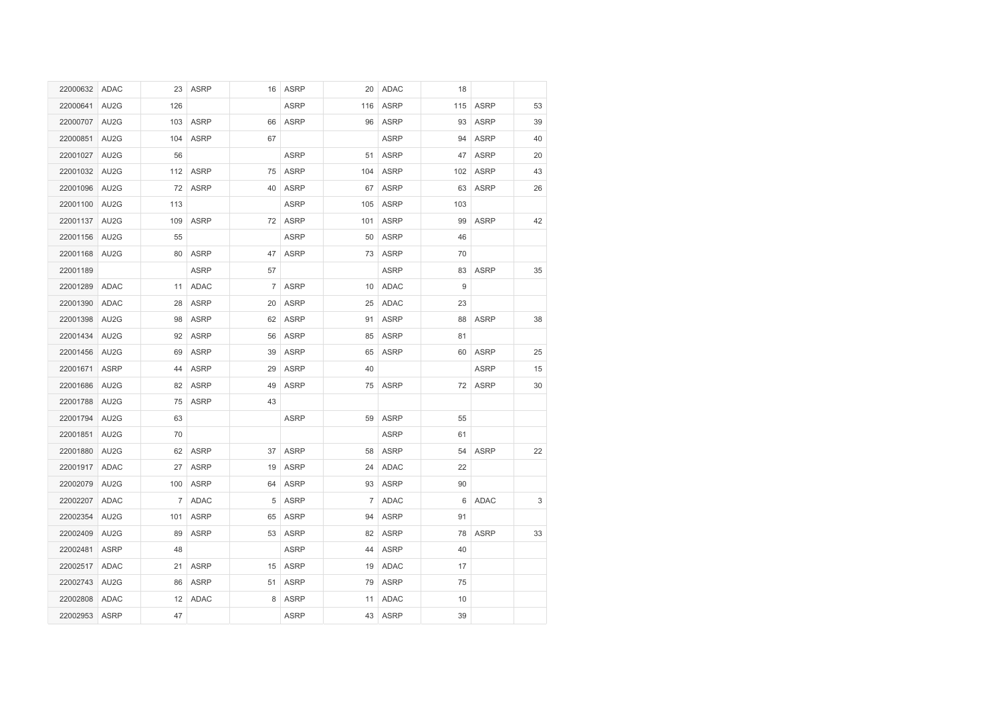| 22000632 ADAC |                  | 23  | <b>ASRP</b> |    | 16 ASRP     | 20              | ADAC        | 18  |             |    |
|---------------|------------------|-----|-------------|----|-------------|-----------------|-------------|-----|-------------|----|
| 22000641      | AU2G             | 126 |             |    | <b>ASRP</b> | 116             | <b>ASRP</b> | 115 | <b>ASRP</b> | 53 |
| 22000707      | AU2G             | 103 | <b>ASRP</b> | 66 | <b>ASRP</b> | 96              | <b>ASRP</b> | 93  | <b>ASRP</b> | 39 |
| 22000851      | AU2G             | 104 | <b>ASRP</b> | 67 |             |                 | <b>ASRP</b> | 94  | <b>ASRP</b> | 40 |
| 22001027      | AU2G             | 56  |             |    | <b>ASRP</b> | 51              | <b>ASRP</b> | 47  | <b>ASRP</b> | 20 |
| 22001032      | AU <sub>2G</sub> |     | 112 ASRP    | 75 | ASRP        | 104             | <b>ASRP</b> | 102 | <b>ASRP</b> | 43 |
| 22001096 AU2G |                  | 72  | ASRP        | 40 | <b>ASRP</b> | 67              | <b>ASRP</b> | 63  | <b>ASRP</b> | 26 |
| 22001100      | AU2G             | 113 |             |    | <b>ASRP</b> | 105             | <b>ASRP</b> | 103 |             |    |
| 22001137 AU2G |                  | 109 | ASRP        |    | 72 ASRP     | 101             | <b>ASRP</b> | 99  | <b>ASRP</b> | 42 |
| 22001156 AU2G |                  | 55  |             |    | <b>ASRP</b> | 50              | <b>ASRP</b> | 46  |             |    |
| 22001168 AU2G |                  | 80  | <b>ASRP</b> | 47 | <b>ASRP</b> | 73              | <b>ASRP</b> | 70  |             |    |
| 22001189      |                  |     | <b>ASRP</b> | 57 |             |                 | <b>ASRP</b> | 83  | <b>ASRP</b> | 35 |
| 22001289      | ADAC             | 11  | <b>ADAC</b> |    | 7 ASRP      | 10 <sup>°</sup> | <b>ADAC</b> | 9   |             |    |
| 22001390      | ADAC             | 28  | <b>ASRP</b> | 20 | <b>ASRP</b> | 25              | <b>ADAC</b> | 23  |             |    |
| 22001398 AU2G |                  | 98  | <b>ASRP</b> | 62 | <b>ASRP</b> | 91              | <b>ASRP</b> | 88  | <b>ASRP</b> | 38 |
| 22001434      | AU2G             | 92  | <b>ASRP</b> | 56 | <b>ASRP</b> | 85              | <b>ASRP</b> | 81  |             |    |
| 22001456      | AU2G             | 69  | <b>ASRP</b> | 39 | <b>ASRP</b> | 65              | <b>ASRP</b> | 60  | <b>ASRP</b> | 25 |
| 22001671 ASRP |                  | 44  | <b>ASRP</b> | 29 | <b>ASRP</b> | 40              |             |     | <b>ASRP</b> | 15 |
| 22001686      | AU2G             | 82  | <b>ASRP</b> | 49 | <b>ASRP</b> | 75              | <b>ASRP</b> |     | 72 ASRP     | 30 |
| 22001788      | AU2G             | 75  | <b>ASRP</b> | 43 |             |                 |             |     |             |    |
| 22001794 AU2G |                  | 63  |             |    | <b>ASRP</b> | 59              | <b>ASRP</b> | 55  |             |    |
| 22001851      | AU2G             | 70  |             |    |             |                 | <b>ASRP</b> | 61  |             |    |
| 22001880 AU2G |                  |     | 62 ASRP     |    | 37 ASRP     |                 | 58 ASRP     |     | 54 ASRP     | 22 |
| 22001917 ADAC |                  |     | 27 ASRP     |    | 19 ASRP     |                 | 24 ADAC     | 22  |             |    |
| 22002079 AU2G |                  | 100 | <b>ASRP</b> | 64 | <b>ASRP</b> | 93              | <b>ASRP</b> | 90  |             |    |
| 22002207 ADAC |                  |     | 7 ADAC      | 5  | ASRP        |                 | 7 ADAC      | 6   | <b>ADAC</b> | 3  |
| 22002354 AU2G |                  | 101 | <b>ASRP</b> | 65 | ASRP        | 94              | <b>ASRP</b> | 91  |             |    |
| 22002409      | AU2G             | 89  | <b>ASRP</b> | 53 | <b>ASRP</b> | 82              | <b>ASRP</b> | 78  | <b>ASRP</b> | 33 |
| 22002481      | <b>ASRP</b>      | 48  |             |    | <b>ASRP</b> | 44              | <b>ASRP</b> | 40  |             |    |
| 22002517 ADAC |                  | 21  | ASRP        | 15 | ASRP        |                 | 19 ADAC     | 17  |             |    |
| 22002743      | AU2G             | 86  | <b>ASRP</b> | 51 | <b>ASRP</b> | 79              | <b>ASRP</b> | 75  |             |    |
| 22002808 ADAC |                  | 12  | <b>ADAC</b> | 8  | <b>ASRP</b> | 11              | ADAC        | 10  |             |    |
| 22002953 ASRP |                  | 47  |             |    | <b>ASRP</b> |                 | 43 ASRP     | 39  |             |    |
|               |                  |     |             |    |             |                 |             |     |             |    |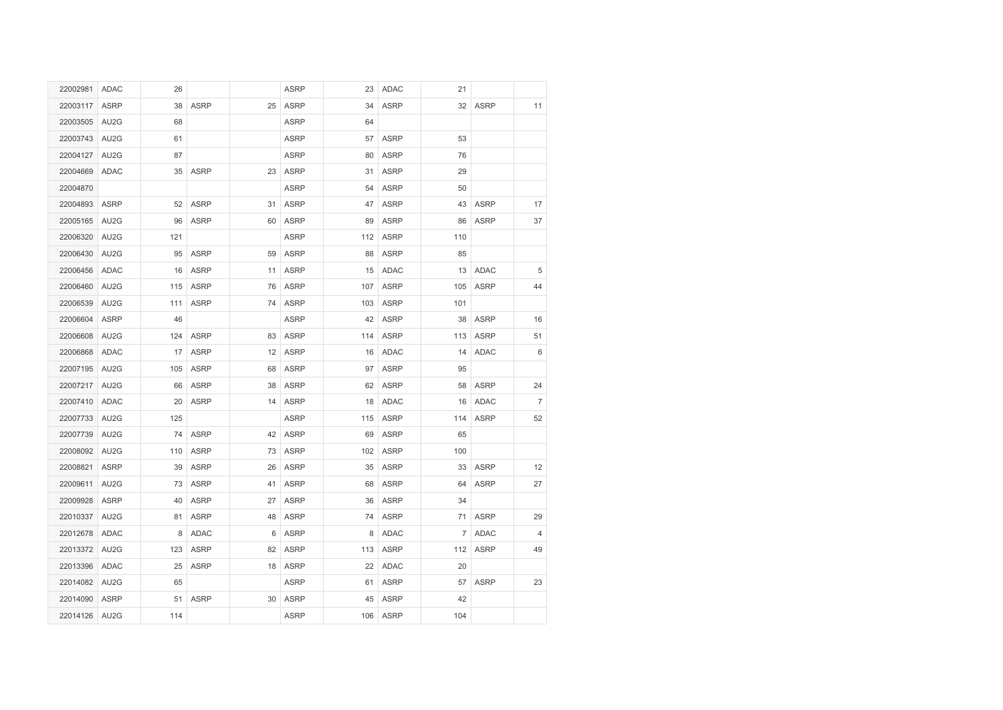| 22002981      | ADAC              | 26  |             |    | <b>ASRP</b> | 23  | <b>ADAC</b> | 21          |             |                |
|---------------|-------------------|-----|-------------|----|-------------|-----|-------------|-------------|-------------|----------------|
| 22003117      | ASRP              | 38  | <b>ASRP</b> | 25 | <b>ASRP</b> | 34  | <b>ASRP</b> | 32          | <b>ASRP</b> | 11             |
| 22003505      | AU2G              | 68  |             |    | <b>ASRP</b> | 64  |             |             |             |                |
| 22003743      | AU <sub>2G</sub>  | 61  |             |    | <b>ASRP</b> | 57  | <b>ASRP</b> | 53          |             |                |
| 22004127      | AU2G              | 87  |             |    | <b>ASRP</b> | 80  | <b>ASRP</b> | 76          |             |                |
| 22004669      | ADAC              |     | 35 ASRP     | 23 | ASRP        | 31  | <b>ASRP</b> | 29          |             |                |
| 22004870      |                   |     |             |    | <b>ASRP</b> | 54  | <b>ASRP</b> | 50          |             |                |
| 22004893      | <b>ASRP</b>       | 52  | <b>ASRP</b> | 31 | <b>ASRP</b> | 47  | <b>ASRP</b> | 43          | <b>ASRP</b> | 17             |
| 22005165      | AU2G              | 96  | <b>ASRP</b> | 60 | <b>ASRP</b> | 89  | <b>ASRP</b> | 86          | <b>ASRP</b> | 37             |
| 22006320      | AU <sub>2</sub> G | 121 |             |    | ASRP        | 112 | <b>ASRP</b> | 110         |             |                |
| 22006430      | AU2G              | 95  | <b>ASRP</b> | 59 | ASRP        | 88  | <b>ASRP</b> | 85          |             |                |
| 22006456      | ADAC              | 16  | <b>ASRP</b> | 11 | <b>ASRP</b> | 15  | <b>ADAC</b> | 13          | <b>ADAC</b> | $\sqrt{5}$     |
| 22006460      | AU2G              | 115 | <b>ASRP</b> | 76 | ASRP        | 107 | <b>ASRP</b> | 105         | <b>ASRP</b> | 44             |
| 22006539      | AU2G              | 111 | <b>ASRP</b> |    | 74 ASRP     | 103 | <b>ASRP</b> | 101         |             |                |
| 22006604      | <b>ASRP</b>       | 46  |             |    | <b>ASRP</b> | 42  | <b>ASRP</b> | 38          | <b>ASRP</b> | 16             |
| 22006608      | AU2G              | 124 | <b>ASRP</b> | 83 | ASRP        | 114 | <b>ASRP</b> | 113         | <b>ASRP</b> | 51             |
| 22006868      | ADAC              | 17  | <b>ASRP</b> | 12 | <b>ASRP</b> | 16  | <b>ADAC</b> | 14          | <b>ADAC</b> | 6              |
| 22007195      | AU <sub>2G</sub>  | 105 | <b>ASRP</b> | 68 | ASRP        | 97  | <b>ASRP</b> | 95          |             |                |
| 22007217      | AU2G              | 66  | <b>ASRP</b> | 38 | <b>ASRP</b> | 62  | <b>ASRP</b> | 58          | <b>ASRP</b> | 24             |
| 22007410      | ADAC              | 20  | <b>ASRP</b> |    | 14 ASRP     | 18  | <b>ADAC</b> | 16          | <b>ADAC</b> | $\overline{7}$ |
| 22007733      | AU <sub>2G</sub>  | 125 |             |    | <b>ASRP</b> | 115 | <b>ASRP</b> | 114         | <b>ASRP</b> | 52             |
| 22007739      | AU2G              |     | 74 ASRP     |    | 42 ASRP     | 69  | <b>ASRP</b> | 65          |             |                |
| 22008092 AU2G |                   |     | 110 ASRP    |    | 73 ASRP     |     | 102 ASRP    | 100         |             |                |
| 22008821      | <b>ASRP</b>       |     | 39 ASRP     |    | 26 ASRP     | 35  | <b>ASRP</b> |             | 33 ASRP     | 12             |
| 22009611      | AU2G              | 73  | <b>ASRP</b> | 41 | <b>ASRP</b> | 68  | <b>ASRP</b> | 64          | <b>ASRP</b> | 27             |
| 22009928      | <b>ASRP</b>       | 40  | <b>ASRP</b> | 27 | ASRP        | 36  | <b>ASRP</b> | 34          |             |                |
| 22010337 AU2G |                   | 81  | <b>ASRP</b> | 48 | ASRP        | 74  | <b>ASRP</b> | 71          | <b>ASRP</b> | 29             |
| 22012678      | ADAC              | 8   | ADAC        | 6  | <b>ASRP</b> | 8   | <b>ADAC</b> | $7^{\circ}$ | ADAC        | $\overline{4}$ |
| 22013372 AU2G |                   | 123 | <b>ASRP</b> | 82 | ASRP        | 113 | <b>ASRP</b> | 112         | <b>ASRP</b> | 49             |
| 22013396 ADAC |                   | 25  | ASRP        |    | 18 ASRP     | 22  | ADAC        | 20          |             |                |
| 22014082 AU2G |                   | 65  |             |    | <b>ASRP</b> | 61  | <b>ASRP</b> | 57          | <b>ASRP</b> | 23             |
| 22014090 ASRP |                   | 51  | <b>ASRP</b> | 30 | ASRP        | 45  | <b>ASRP</b> | 42          |             |                |
| 22014126 AU2G |                   | 114 |             |    | <b>ASRP</b> | 106 | <b>ASRP</b> | 104         |             |                |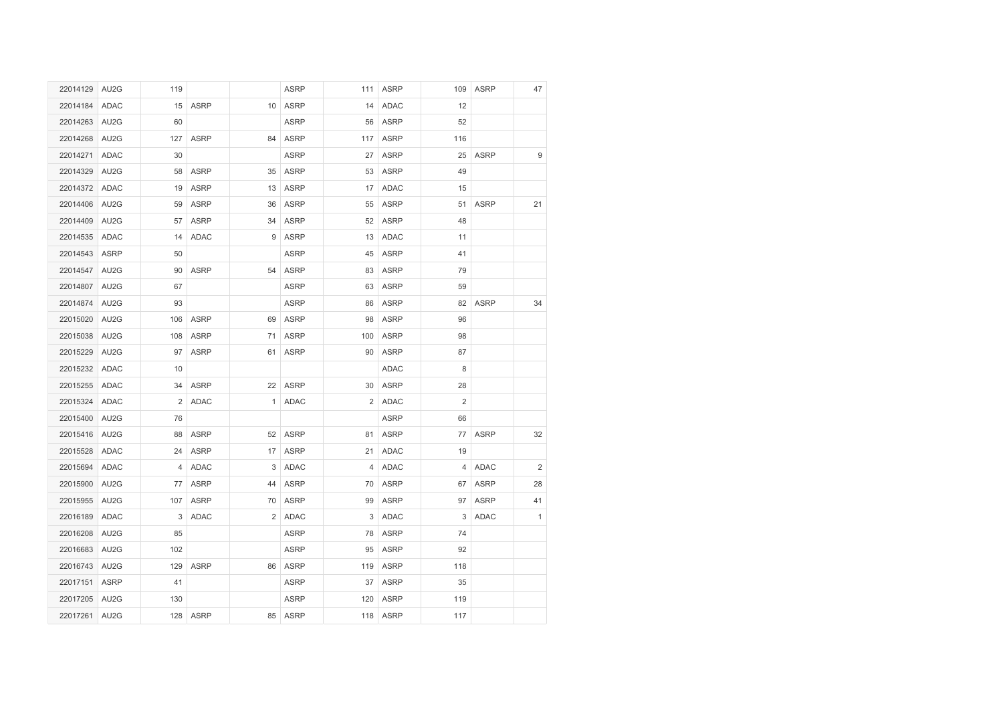| 22014129 AU2G |                   | 119                   |             |                | <b>ASRP</b> |     | 111 ASRP    | 109 | <b>ASRP</b> | 47             |
|---------------|-------------------|-----------------------|-------------|----------------|-------------|-----|-------------|-----|-------------|----------------|
| 22014184 ADAC |                   |                       | 15 ASRP     | 10             | ASRP        | 14  | ADAC        | 12  |             |                |
| 22014263 AU2G |                   | 60                    |             |                | <b>ASRP</b> | 56  | <b>ASRP</b> | 52  |             |                |
| 22014268 AU2G |                   | 127                   | <b>ASRP</b> | 84             | <b>ASRP</b> | 117 | <b>ASRP</b> | 116 |             |                |
| 22014271      | ADAC              | 30                    |             |                | <b>ASRP</b> | 27  | <b>ASRP</b> | 25  | <b>ASRP</b> | 9              |
| 22014329 AU2G |                   | 58                    | ASRP        | 35             | <b>ASRP</b> | 53  | <b>ASRP</b> | 49  |             |                |
| 22014372 ADAC |                   | 19                    | ASRP        | 13             | <b>ASRP</b> |     | 17 ADAC     | 15  |             |                |
| 22014406 AU2G |                   | 59                    | <b>ASRP</b> | 36             | <b>ASRP</b> | 55  | <b>ASRP</b> | 51  | <b>ASRP</b> | 21             |
| 22014409      | AU <sub>2</sub> G | 57                    | <b>ASRP</b> | 34             | <b>ASRP</b> | 52  | <b>ASRP</b> | 48  |             |                |
| 22014535 ADAC |                   | 14                    | ADAC        | 9              | <b>ASRP</b> | 13  | <b>ADAC</b> | 11  |             |                |
| 22014543 ASRP |                   | 50                    |             |                | <b>ASRP</b> | 45  | <b>ASRP</b> | 41  |             |                |
| 22014547 AU2G |                   | 90                    | ASRP        | 54             | <b>ASRP</b> | 83  | <b>ASRP</b> | 79  |             |                |
| 22014807 AU2G |                   | 67                    |             |                | <b>ASRP</b> | 63  | <b>ASRP</b> | 59  |             |                |
| 22014874 AU2G |                   | 93                    |             |                | <b>ASRP</b> | 86  | <b>ASRP</b> | 82  | <b>ASRP</b> | 34             |
| 22015020 AU2G |                   |                       | 106 ASRP    | 69             | <b>ASRP</b> | 98  | <b>ASRP</b> | 96  |             |                |
| 22015038 AU2G |                   | 108                   | <b>ASRP</b> | 71             | <b>ASRP</b> | 100 | <b>ASRP</b> | 98  |             |                |
| 22015229      | AU2G              | 97                    | <b>ASRP</b> | 61             | <b>ASRP</b> | 90  | <b>ASRP</b> | 87  |             |                |
| 22015232 ADAC |                   | 10                    |             |                |             |     | <b>ADAC</b> | 8   |             |                |
| 22015255      | ADAC              | 34                    | <b>ASRP</b> |                | 22 ASRP     |     | 30 ASRP     | 28  |             |                |
| 22015324 ADAC |                   | $\mathbf{2}^{\prime}$ | ADAC        | $\mathbf{1}$   | <b>ADAC</b> |     | 2 ADAC      | 2   |             |                |
| 22015400 AU2G |                   | 76                    |             |                |             |     | <b>ASRP</b> | 66  |             |                |
| 22015416      | AU <sub>2</sub> G | 88                    | <b>ASRP</b> |                | 52 ASRP     | 81  | <b>ASRP</b> | 77  | <b>ASRP</b> | 32             |
| 22015528 ADAC |                   |                       | 24 ASRP     |                | 17 ASRP     |     | 21 ADAC     | 19  |             |                |
| 22015694 ADAC |                   |                       | 4 ADAC      |                | 3 ADAC      |     | 4 ADAC      |     | 4 ADAC      | $\overline{c}$ |
| 22015900      | AU2G              | 77                    | <b>ASRP</b> | 44             | <b>ASRP</b> | 70  | <b>ASRP</b> | 67  | <b>ASRP</b> | 28             |
| 22015955      | AU <sub>2</sub> G | 107                   | <b>ASRP</b> | 70             | <b>ASRP</b> | 99  | <b>ASRP</b> | 97  | <b>ASRP</b> | 41             |
| 22016189 ADAC |                   | 3                     | ADAC        | $\overline{2}$ | ADAC        | 3   | ADAC        | 3   | ADAC        | $\mathbf{1}$   |
| 22016208      | AU <sub>2G</sub>  | 85                    |             |                | <b>ASRP</b> | 78  | <b>ASRP</b> | 74  |             |                |
| 22016683 AU2G |                   | 102                   |             |                | <b>ASRP</b> | 95  | <b>ASRP</b> | 92  |             |                |
| 22016743 AU2G |                   |                       | 129 ASRP    | 86             | <b>ASRP</b> | 119 | <b>ASRP</b> | 118 |             |                |
| 22017151      | <b>ASRP</b>       | 41                    |             |                | <b>ASRP</b> | 37  | <b>ASRP</b> | 35  |             |                |
| 22017205 AU2G |                   | 130                   |             |                | <b>ASRP</b> | 120 | <b>ASRP</b> | 119 |             |                |
| 22017261 AU2G |                   |                       | 128 ASRP    | 85             | <b>ASRP</b> |     | 118 ASRP    | 117 |             |                |